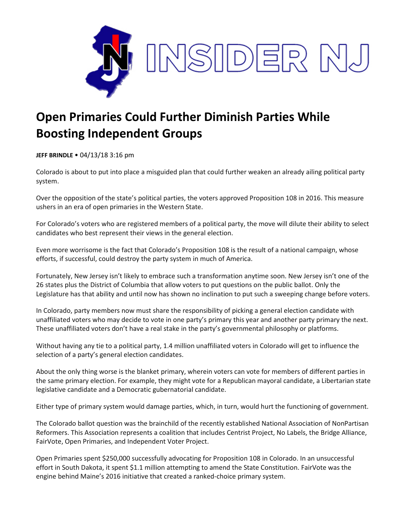

## **Open Primaries Could Further Diminish Parties While Boosting Independent Groups**

**JEFF BRINDLE** • 04/13/18 3:16 pm

Colorado is about to put into place a misguided plan that could further weaken an already ailing political party system.

Over the opposition of the state's political parties, the voters approved Proposition 108 in 2016. This measure ushers in an era of open primaries in the Western State.

For Colorado's voters who are registered members of a political party, the move will dilute their ability to select candidates who best represent their views in the general election.

Even more worrisome is the fact that Colorado's Proposition 108 is the result of a national campaign, whose efforts, if successful, could destroy the party system in much of America.

Fortunately, New Jersey isn't likely to embrace such a transformation anytime soon. New Jersey isn't one of the 26 states plus the District of Columbia that allow voters to put questions on the public ballot. Only the Legislature has that ability and until now has shown no inclination to put such a sweeping change before voters.

In Colorado, party members now must share the responsibility of picking a general election candidate with unaffiliated voters who may decide to vote in one party's primary this year and another party primary the next. These unaffiliated voters don't have a real stake in the party's governmental philosophy or platforms.

Without having any tie to a political party, 1.4 million unaffiliated voters in Colorado will get to influence the selection of a party's general election candidates.

About the only thing worse is the blanket primary, wherein voters can vote for members of different parties in the same primary election. For example, they might vote for a Republican mayoral candidate, a Libertarian state legislative candidate and a Democratic gubernatorial candidate.

Either type of primary system would damage parties, which, in turn, would hurt the functioning of government.

The Colorado ballot question was the brainchild of the recently established National Association of NonPartisan Reformers. This Association represents a coalition that includes Centrist Project, No Labels, the Bridge Alliance, FairVote, Open Primaries, and Independent Voter Project.

Open Primaries spent \$250,000 successfully advocating for Proposition 108 in Colorado. In an unsuccessful effort in South Dakota, it spent \$1.1 million attempting to amend the State Constitution. FairVote was the engine behind Maine's 2016 initiative that created a ranked-choice primary system.